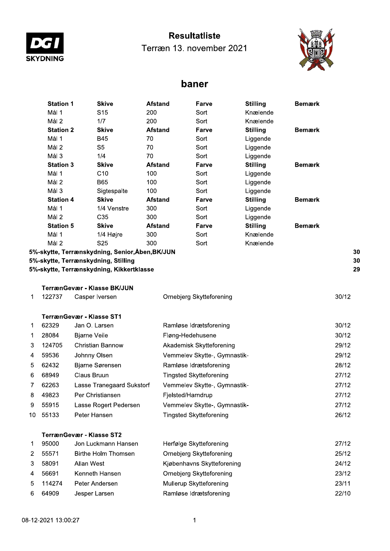

## **Resultatliste**

Terræn 13. november 2021



## baner

|    | <b>Station 1</b> | <b>Skive</b>                                  | <b>Afstand</b> | Farve                          | <b>Stilling</b> | <b>Bemærk</b> |       |
|----|------------------|-----------------------------------------------|----------------|--------------------------------|-----------------|---------------|-------|
|    | Mål 1            | S <sub>15</sub>                               | 200            | Sort                           | Knælende        |               |       |
|    | Mål <sub>2</sub> | 1/7                                           | 200            | Sort                           | Knælende        |               |       |
|    | <b>Station 2</b> | <b>Skive</b>                                  | <b>Afstand</b> | Farve                          | <b>Stilling</b> | <b>Bemærk</b> |       |
|    | Mål 1            | <b>B45</b>                                    | 70             | Sort                           | Liggende        |               |       |
|    | Mål 2            | S <sub>5</sub>                                | 70             | Sort                           | Liggende        |               |       |
|    | Mål 3            | 1/4                                           | 70             | Sort                           | Liggende        |               |       |
|    | <b>Station 3</b> | <b>Skive</b>                                  | <b>Afstand</b> | Farve                          | <b>Stilling</b> | <b>Bemærk</b> |       |
|    | Mål 1            | C10                                           | 100            | Sort                           | Liggende        |               |       |
|    | Mål 2            | <b>B65</b>                                    | 100            | Sort                           | Liggende        |               |       |
|    | Mål 3            | Sigtespalte                                   | 100            | Sort                           | Liggende        |               |       |
|    | <b>Station 4</b> | <b>Skive</b>                                  | <b>Afstand</b> | Farve                          | <b>Stilling</b> | <b>Bemærk</b> |       |
|    | Mål 1            | 1/4 Venstre                                   | 300            | Sort                           | Liggende        |               |       |
|    | Mål 2            | C35                                           | 300            | Sort                           | Liggende        |               |       |
|    | <b>Station 5</b> | <b>Skive</b>                                  | <b>Afstand</b> | Farve                          | <b>Stilling</b> | <b>Bemærk</b> |       |
|    | Mål 1            | 1/4 Højre                                     | 300            | Sort                           | Knælende        |               |       |
|    | Mål <sub>2</sub> | S <sub>25</sub>                               | 300            | Sort                           | Knælende        |               |       |
|    |                  | 5%-skytte, Terrænskydning, Senior,Åben,BK/JUN |                |                                |                 |               | 30    |
|    |                  | 5%-skytte, Terrænskydning, Stilling           |                |                                |                 |               | 30    |
|    |                  | 5%-skytte, Terrænskydning, Kikkertklasse      |                |                                |                 |               | 29    |
|    |                  | TerrænGevær - Klasse BK/JUN                   |                |                                |                 |               |       |
| 1  | 122737           | Casper Iversen                                |                | Ornebjerg Skytteforening       |                 |               | 30/12 |
|    |                  | <b>TerrænGevær - Klasse ST1</b>               |                |                                |                 |               |       |
| 1  | 62329            | Jan O. Larsen                                 |                | Ramløse Idrætsforening         |                 |               | 30/12 |
| 1  | 28084            | <b>Bjarne Veile</b>                           |                | Fløng-Hedehusene               |                 |               | 30/12 |
| 3  | 124705           | <b>Christian Bannow</b>                       |                | Akademisk Skytteforening       |                 |               | 29/12 |
| 4  | 59536            | Johnny Olsen                                  |                | Vemmelev Skytte-, Gymnastik-   |                 |               | 29/12 |
| 5  | 62432            | <b>Bjarne Sørensen</b>                        |                | Ramløse Idrætsforening         |                 |               | 28/12 |
| 6  | 68949            | Claus Bruun                                   |                | <b>Tingsted Skytteforening</b> |                 |               | 27/12 |
| 7  | 62263            | Lasse Tranegaard Sukstorf                     |                | Vemmelev Skytte-, Gymnastik-   |                 |               | 27/12 |
| 8  | 49823            | Per Christiansen                              |                | Fjelsted/Harndrup              |                 |               | 27/12 |
| 9  | 55915            | Lasse Rogert Pedersen                         |                | Vemmelev Skytte-, Gymnastik-   |                 |               | 27/12 |
| 10 | 55133            | Peter Hansen                                  |                | <b>Tingsted Skytteforening</b> |                 |               | 26/12 |
|    |                  | <b>TerrænGevær - Klasse ST2</b>               |                |                                |                 |               |       |
| 1  | 95000            | Jon Luckmann Hansen                           |                | Herfølge Skytteforening        |                 |               | 27/12 |
| 2  | 55571            | <b>Birthe Holm Thomsen</b>                    |                | Ornebjerg Skytteforening       |                 |               | 25/12 |
| 3  | 58091            | Allan West                                    |                | Kiøbenhavns Skytteforening     |                 |               | 24/12 |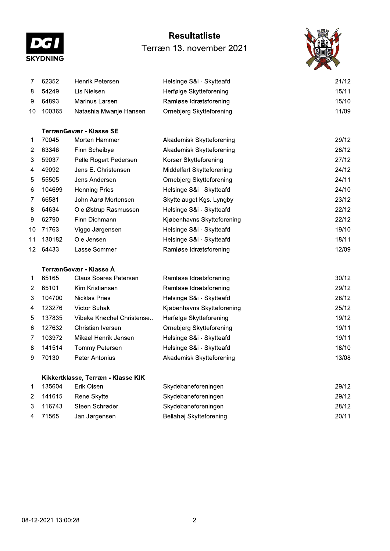

# **Resultatliste** Terræn 13. november 2021



| 7  | 62352  | Henrik Petersen         | Helsinge S&i - Skytteafd.  | 21/12 |
|----|--------|-------------------------|----------------------------|-------|
| 8  | 54249  | Lis Nielsen             | Herfølge Skytteforening    | 15/11 |
| 9  | 64893  | Marinus Larsen          | Ramløse Idrætsforening     | 15/10 |
| 10 | 100365 | Natashia Mwanje Hansen  | Ornebjerg Skytteforening   | 11/09 |
|    |        | TerrænGevær - Klasse SE |                            |       |
| 1  | 70045  | Morten Hammer           | Akademisk Skytteforening   | 29/12 |
| 2  | 63346  | Finn Scheibye           | Akademisk Skytteforening   | 28/12 |
| 3  | 59037  | Pelle Rogert Pedersen   | Korsør Skytteforening      | 27/12 |
| 4  | 49092  | Jens E. Christensen     | Middelfart Skytteforening  | 24/12 |
| 5  | 55505  | Jens Andersen           | Ornebjerg Skytteforening   | 24/11 |
| 6  | 104699 | <b>Henning Pries</b>    | Helsinge S&i - Skytteafd.  | 24/10 |
| 7  | 66581  | John Aarø Mortensen     | Skyttelauget Kgs. Lyngby   | 23/12 |
| 8  | 64634  | Ole Østrup Rasmussen    | Helsinge S&i - Skytteafd.  | 22/12 |
| 9  | 62790  | Finn Dichmann           | Kjøbenhavns Skytteforening | 22/12 |
| 10 | 71763  | Viggo Jørgensen         | Helsinge S&i - Skytteafd.  | 19/10 |
| 11 | 130182 | Ole Jensen              | Helsinge S&i - Skytteafd.  | 18/11 |
| 12 | 64433  | Lasse Sommer            | Ramløse Idrætsforening     | 12/09 |
|    |        |                         |                            |       |
|    |        |                         |                            |       |

### TerrænGevær - Klasse Å

| 1              | 65165  | Claus Soares Petersen     | Ramløse Idrætsforening     | 30/12 |
|----------------|--------|---------------------------|----------------------------|-------|
| 2              | 65101  | Kim Kristiansen           | Ramløse Idrætsforening     | 29/12 |
| 3.             | 104700 | Nicklas Pries             | Helsinge S&i - Skytteafd.  | 28/12 |
| $\overline{4}$ | 123276 | Victor Suhak              | Kjøbenhavns Skytteforening | 25/12 |
| 5.             | 137835 | Vibeke Knøchel Christense | Herfølge Skytteforening    | 19/12 |
| 6.             | 127632 | Christian Iversen         | Ornebjerg Skytteforening   | 19/11 |
| 7              | 103972 | Mikael Henrik Jensen      | Helsinge S&i - Skytteafd.  | 19/11 |
| 8.             | 141514 | Tommy Petersen            | Helsinge S&i - Skytteafd.  | 18/10 |
| 9              | 70130  | Peter Antonius            | Akademisk Skytteforening   | 13/08 |

#### Kikkertklasse, Terræn - Klasse KIK

|                | 135604   | Erik Olsen     | Skydebaneforeningen     | 29/12 |
|----------------|----------|----------------|-------------------------|-------|
|                | 2 141615 | Rene Skytte    | Skydebaneforeningen     | 29/12 |
|                | 3 116743 | Steen Schrøder | Skydebaneforeningen     | 28/12 |
| $\overline{4}$ | 71565    | Jan Jørgensen  | Bellahøj Skytteforening | 20/11 |